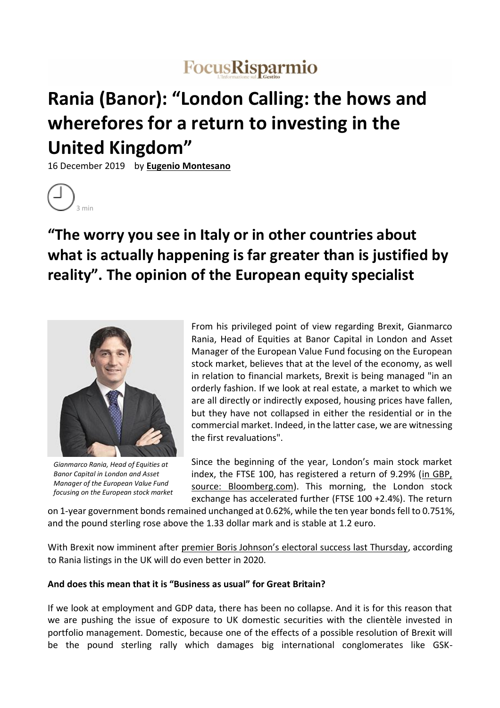# FocusRisparmio

# **Rania (Banor): "London Calling: the hows and wherefores for a return to investing in the United Kingdom"**

16 December 2019 by **Eugenio Montesano**



# **"The worry you see in Italy or in other countries about what is actually happening is far greater than is justified by reality". The opinion of the European equity specialist**



*Gianmarco Rania, Head of Equities at Banor Capital in London and Asset Manager of the European Value Fund focusing on the European stock market* 

From his privileged point of view regarding Brexit, Gianmarco Rania, Head of Equities at Banor Capital in London and Asset Manager of the European Value Fund focusing on the European stock market, believes that at the level of the economy, as well in relation to financial markets, Brexit is being managed "in an orderly fashion. If we look at real estate, a market to which we are all directly or indirectly exposed, housing prices have fallen, but they have not collapsed in either the residential or in the commercial market. Indeed, in the latter case, we are witnessing the first revaluations".

Since the beginning of the year, London's main stock market index, the FTSE 100, has registered a return of 9.29% (in GBP, source: Bloomberg.com). This morning, the London stock exchange has accelerated further (FTSE 100 +2.4%). The return

on 1-year government bonds remained unchanged at 0.62%, while the ten year bonds fell to 0.751%, and the pound sterling rose above the 1.33 dollar mark and is stable at 1.2 euro.

With Brexit now imminent after premier Boris Johnson's electoral success last Thursday, according to Rania listings in the UK will do even better in 2020.

# **And does this mean that it is "Business as usual" for Great Britain?**

If we look at employment and GDP data, there has been no collapse. And it is for this reason that we are pushing the issue of exposure to UK domestic securities with the clientèle invested in portfolio management. Domestic, because one of the effects of a possible resolution of Brexit will be the pound sterling rally which damages big international conglomerates like GSK-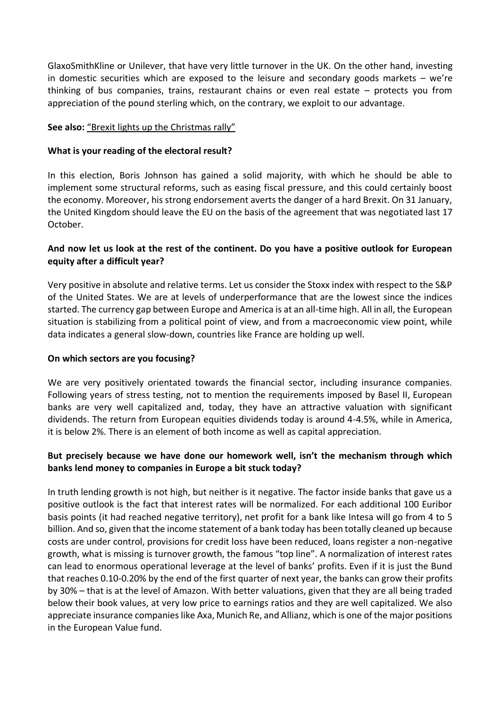GlaxoSmithKline or Unilever, that have very little turnover in the UK. On the other hand, investing in domestic securities which are exposed to the leisure and secondary goods markets – we're thinking of bus companies, trains, restaurant chains or even real estate – protects you from appreciation of the pound sterling which, on the contrary, we exploit to our advantage.

### **See also:** "Brexit lights up the Christmas rally"

### **What is your reading of the electoral result?**

In this election, Boris Johnson has gained a solid majority, with which he should be able to implement some structural reforms, such as easing fiscal pressure, and this could certainly boost the economy. Moreover, his strong endorsement averts the danger of a hard Brexit. On 31 January, the United Kingdom should leave the EU on the basis of the agreement that was negotiated last 17 October.

# **And now let us look at the rest of the continent. Do you have a positive outlook for European equity after a difficult year?**

Very positive in absolute and relative terms. Let us consider the Stoxx index with respect to the S&P of the United States. We are at levels of underperformance that are the lowest since the indices started. The currency gap between Europe and America is at an all-time high. All in all, the European situation is stabilizing from a political point of view, and from a macroeconomic view point, while data indicates a general slow-down, countries like France are holding up well.

#### **On which sectors are you focusing?**

We are very positively orientated towards the financial sector, including insurance companies. Following years of stress testing, not to mention the requirements imposed by Basel II, European banks are very well capitalized and, today, they have an attractive valuation with significant dividends. The return from European equities dividends today is around 4-4.5%, while in America, it is below 2%. There is an element of both income as well as capital appreciation.

# **But precisely because we have done our homework well, isn't the mechanism through which banks lend money to companies in Europe a bit stuck today?**

In truth lending growth is not high, but neither is it negative. The factor inside banks that gave us a positive outlook is the fact that interest rates will be normalized. For each additional 100 Euribor basis points (it had reached negative territory), net profit for a bank like Intesa will go from 4 to 5 billion. And so, given that the income statement of a bank today has been totally cleaned up because costs are under control, provisions for credit loss have been reduced, loans register a non-negative growth, what is missing is turnover growth, the famous "top line". A normalization of interest rates can lead to enormous operational leverage at the level of banks' profits. Even if it is just the Bund that reaches 0.10-0.20% by the end of the first quarter of next year, the banks can grow their profits by 30% – that is at the level of Amazon. With better valuations, given that they are all being traded below their book values, at very low price to earnings ratios and they are well capitalized. We also appreciate insurance companies like Axa, Munich Re, and Allianz, which is one of the major positions in the European Value fund.